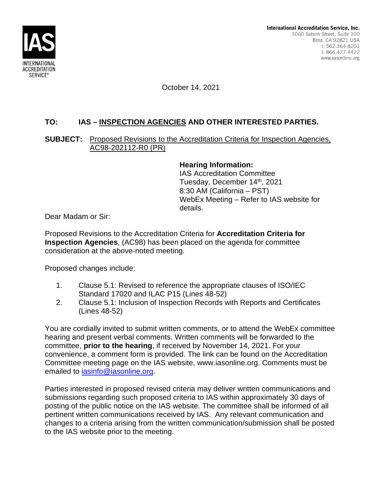

October 14, 2021

## **TO: IAS – INSPECTION AGENCIES AND OTHER INTERESTED PARTIES.**

## **SUBJECT:** Proposed Revisions to the Accreditation Criteria for Inspection Agencies, AC98-202112-R0 (PR)

## **Hearing Information:**

IAS Accreditation Committee Tuesday, December 14<sup>th</sup>, 2021 8:30 AM (California – PST) WebEx Meeting – Refer to IAS website for details.

Dear Madam or Sir:

Proposed Revisions to the Accreditation Criteria for **Accreditation Criteria for Inspection Agencies**, (AC98) has been placed on the agenda for committee consideration at the above-noted meeting.

Proposed changes include:

- 1. Clause 5.1: Revised to reference the appropriate clauses of ISO/IEC Standard 17020 and ILAC P15 (Lines 48-52)
- 2. Clause 5.1: Inclusion of Inspection Records with Reports and Certificates (Lines 48-52)

You are cordially invited to submit written comments, or to attend the WebEx committee hearing and present verbal comments. Written comments will be forwarded to the committee, **prior to the hearing**, if received by November 14, 2021. For your convenience, a comment form is provided. The link can be found on the Accreditation Committee meeting page on the IAS website, www.iasonline.org. Comments must be emailed to iasinfo@iasonline.org.

Parties interested in proposed revised criteria may deliver written communications and submissions regarding such proposed criteria to IAS within approximately 30 days of posting of the public notice on the IAS website. The committee shall be informed of all pertinent written communications received by IAS. Any relevant communication and changes to a criteria arising from the written communication/submission shall be posted to the IAS website prior to the meeting.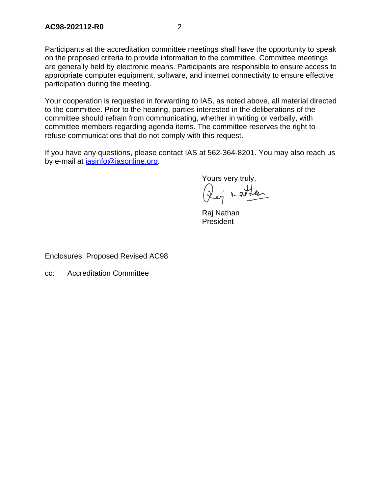Participants at the accreditation committee meetings shall have the opportunity to speak on the proposed criteria to provide information to the committee. Committee meetings are generally held by electronic means. Participants are responsible to ensure access to appropriate computer equipment, software, and internet connectivity to ensure effective participation during the meeting.

Your cooperation is requested in forwarding to IAS, as noted above, all material directed to the committee. Prior to the hearing, parties interested in the deliberations of the committee should refrain from communicating, whether in writing or verbally, with committee members regarding agenda items. The committee reserves the right to refuse communications that do not comply with this request.

If you have any questions, please contact IAS at 562-364-8201. You may also reach us by e-mail at iasinfo@iasonline.org.

Yours very truly,

Rej nather

Raj Nathan President

Enclosures: Proposed Revised AC98

cc: Accreditation Committee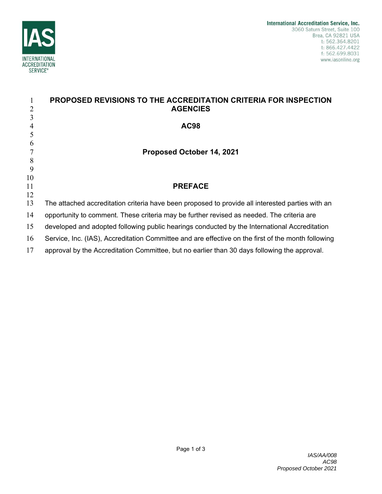

|          | PROPOSED REVISIONS TO THE ACCREDITATION CRITERIA FOR INSPECTION                                    |
|----------|----------------------------------------------------------------------------------------------------|
| 2        | <b>AGENCIES</b>                                                                                    |
| 3        |                                                                                                    |
| 4        | <b>AC98</b>                                                                                        |
| 5        |                                                                                                    |
| 6        |                                                                                                    |
|          | Proposed October 14, 2021                                                                          |
| 8        |                                                                                                    |
| 9        |                                                                                                    |
| 10<br>11 | <b>PREFACE</b>                                                                                     |
| 12       |                                                                                                    |
| 13       | The attached accreditation criteria have been proposed to provide all interested parties with an   |
| 14       | opportunity to comment. These criteria may be further revised as needed. The criteria are          |
| 15       | developed and adopted following public hearings conducted by the International Accreditation       |
| 16       | Service, Inc. (IAS), Accreditation Committee and are effective on the first of the month following |
| 17       | approval by the Accreditation Committee, but no earlier than 30 days following the approval.       |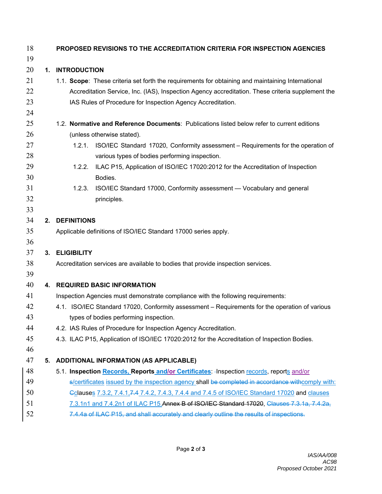| 18 |    | PROPOSED REVISIONS TO THE ACCREDITATION CRITERIA FOR INSPECTION AGENCIES                          |  |  |  |  |
|----|----|---------------------------------------------------------------------------------------------------|--|--|--|--|
| 19 |    |                                                                                                   |  |  |  |  |
| 20 |    | 1. INTRODUCTION                                                                                   |  |  |  |  |
| 21 |    | 1.1. Scope: These criteria set forth the requirements for obtaining and maintaining International |  |  |  |  |
| 22 |    | Accreditation Service, Inc. (IAS), Inspection Agency accreditation. These criteria supplement the |  |  |  |  |
| 23 |    | IAS Rules of Procedure for Inspection Agency Accreditation.                                       |  |  |  |  |
| 24 |    |                                                                                                   |  |  |  |  |
| 25 |    | 1.2. Normative and Reference Documents: Publications listed below refer to current editions       |  |  |  |  |
| 26 |    | (unless otherwise stated).                                                                        |  |  |  |  |
| 27 |    | 1.2.1. ISO/IEC Standard 17020, Conformity assessment - Requirements for the operation of          |  |  |  |  |
| 28 |    | various types of bodies performing inspection.                                                    |  |  |  |  |
| 29 |    | ILAC P15, Application of ISO/IEC 17020:2012 for the Accreditation of Inspection<br>1.2.2.         |  |  |  |  |
| 30 |    | Bodies.                                                                                           |  |  |  |  |
| 31 |    | ISO/IEC Standard 17000, Conformity assessment - Vocabulary and general<br>1.2.3.                  |  |  |  |  |
| 32 |    | principles.                                                                                       |  |  |  |  |
| 33 |    |                                                                                                   |  |  |  |  |
| 34 |    | 2. DEFINITIONS                                                                                    |  |  |  |  |
| 35 |    | Applicable definitions of ISO/IEC Standard 17000 series apply.                                    |  |  |  |  |
| 36 |    |                                                                                                   |  |  |  |  |
| 37 |    | 3. ELIGIBILITY                                                                                    |  |  |  |  |
| 38 |    | Accreditation services are available to bodies that provide inspection services.                  |  |  |  |  |
| 39 |    |                                                                                                   |  |  |  |  |
| 40 |    | 4. REQUIRED BASIC INFORMATION                                                                     |  |  |  |  |
| 41 |    | Inspection Agencies must demonstrate compliance with the following requirements:                  |  |  |  |  |
| 42 |    | 4.1. ISO/IEC Standard 17020, Conformity assessment - Requirements for the operation of various    |  |  |  |  |
| 43 |    | types of bodies performing inspection.                                                            |  |  |  |  |
| 44 |    | 4.2. IAS Rules of Procedure for Inspection Agency Accreditation.                                  |  |  |  |  |
| 45 |    | 4.3. ILAC P15, Application of ISO/IEC 17020:2012 for the Accreditation of Inspection Bodies.      |  |  |  |  |
| 46 |    |                                                                                                   |  |  |  |  |
| 47 | 5. | <b>ADDITIONAL INFORMATION (AS APPLICABLE)</b>                                                     |  |  |  |  |
| 48 |    | 5.1. Inspection Records, Reports and/or Certificates: - Inspection records, reports and/or        |  |  |  |  |
| 49 |    | s/certificates issued by the inspection agency shall be completed in accordance withcomply with:  |  |  |  |  |
| 50 |    | Colauses 7.3.2, 7.4.1, 7.4 7.4.2, 7.4.3, 7.4.4 and 7.4.5 of ISO/IEC Standard 17020 and clauses    |  |  |  |  |
| 51 |    | 7.3.1n1 and 7.4.2n1 of ILAC P15.Annex B of ISO/IEC Standard 17020, Clauses 7.3.1a, 7.4.2a,        |  |  |  |  |
| 52 |    | 7.4.4a of ILAC P15, and shall accurately and clearly outline the results of inspections.          |  |  |  |  |